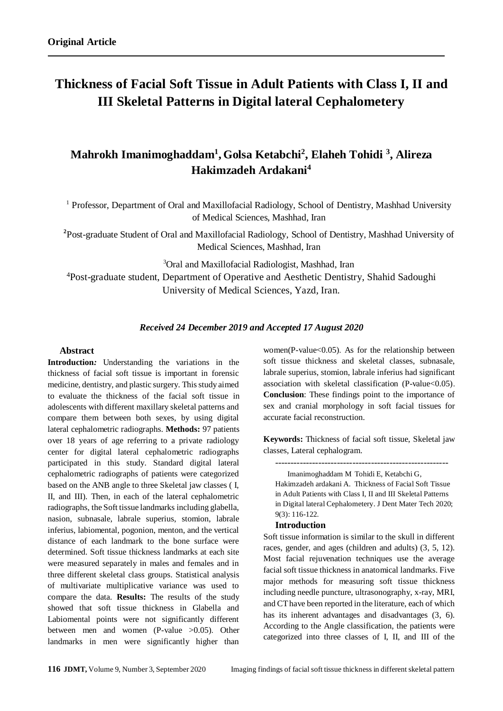# **Thickness of Facial Soft Tissue in Adult Patients with Class I, II and III Skeletal Patterns in Digital lateral Cephalometery**

## **Mahrokh Imanimoghaddam<sup>1</sup> , Golsa Ketabchi<sup>2</sup> , Elaheh Tohidi <sup>3</sup> , Alireza Hakimzadeh Ardakani<sup>4</sup>**

<sup>1</sup> Professor, Department of Oral and Maxillofacial Radiology, School of Dentistry, Mashhad University of Medical Sciences, Mashhad, Iran

**2** Post-graduate Student of Oral and Maxillofacial Radiology, School of Dentistry, Mashhad University of Medical Sciences, Mashhad, Iran

<sup>3</sup>Oral and Maxillofacial Radiologist, Mashhad, Iran

<sup>4</sup>Post-graduate student, Department of Operative and Aesthetic Dentistry, Shahid Sadoughi University of Medical Sciences, Yazd, Iran.

#### *Received 24 December 2019 and Accepted 17 August 2020*

#### **Abstract**

**Introduction***:* Understanding the variations in the thickness of facial soft tissue is important in forensic medicine, dentistry, and plastic surgery. This study aimed to evaluate the thickness of the facial soft tissue in adolescents with different maxillary skeletal patterns and compare them between both sexes, by using digital lateral cephalometric radiographs. **Methods:** 97 patients over 18 years of age referring to a private radiology center for digital lateral cephalometric radiographs participated in this study. Standard digital lateral cephalometric radiographs of patients were categorized based on the ANB angle to three Skeletal jaw classes ( I, II, and III). Then, in each of the lateral cephalometric radiographs, the Soft tissue landmarks including glabella, nasion, subnasale, labrale superius, stomion, labrale inferius, labiomental, pogonion, menton, and the vertical distance of each landmark to the bone surface were determined. Soft tissue thickness landmarks at each site were measured separately in males and females and in three different skeletal class groups. Statistical analysis of multivariate multiplicative variance was used to compare the data. **Results:** The results of the study showed that soft tissue thickness in Glabella and Labiomental points were not significantly different between men and women (P-value >0.05). Other landmarks in men were significantly higher than

women(P-value $< 0.05$ ). As for the relationship between soft tissue thickness and skeletal classes, subnasale, labrale superius, stomion, labrale inferius had significant association with skeletal classification (P-value<0.05). **Conclusion**: These findings point to the importance of sex and cranial morphology in soft facial tissues for accurate facial reconstruction.

**Keywords:** Thickness of facial soft tissue, Skeletal jaw classes, Lateral cephalogram.

--------------------------------------------------------

Imanimoghaddam M Tohidi E, Ketabchi G, Hakimzadeh ardakani A. Thickness of Facial Soft Tissue in Adult Patients with Class I, II and III Skeletal Patterns in Digital lateral Cephalometery. J Dent Mater Tech 2020; 9(3): 116-122.

#### **Introduction**

Soft tissue information is similar to the skull in different races, gender, and ages (children and adults) (3, 5, 12). Most facial rejuvenation techniques use the average facial soft tissue thickness in anatomical landmarks. Five major methods for measuring soft tissue thickness including needle puncture, ultrasonography, x-ray, MRI, and CT have been reported in the literature, each of which has its inherent advantages and disadvantages (3, 6). According to the Angle classification, the patients were categorized into three classes of I, II, and III of the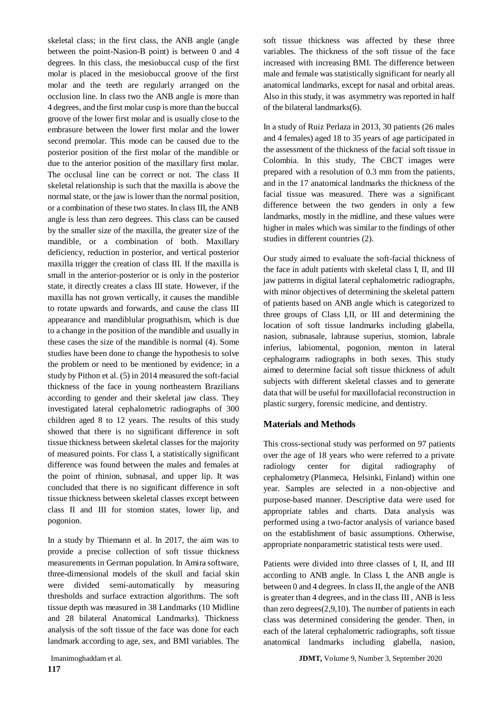skeletal class; in the first class, the ANB angle (angle between the point-Nasion-B point) is between 0 and 4 degrees. In this class, the mesiobuccal cusp of the first molar is placed in the mesiobuccal groove of the first molar and the teeth are regularly arranged on the occlusion line. In class two the ANB angle is more than 4 degrees, and the first molar cusp is more than the buccal groove of the lower first molar and is usually close to the embrasure between the lower first molar and the lower second premolar. This mode can be caused due to the posterior position of the first molar of the mandible or due to the anterior position of the maxillary first molar. The occlusal line can be correct or not. The class II skeletal relationship is such that the maxilla is above the normal state, or the jaw is lower than the normal position, or a combination of these two states. In class III, the ANB angle is less than zero degrees. This class can be caused by the smaller size of the maxilla, the greater size of the mandible, or a combination of both. Maxillary deficiency, reduction in posterior, and vertical posterior maxilla trigger the creation of class III. If the maxilla is small in the anterior-posterior or is only in the posterior state, it directly creates a class III state. However, if the maxilla has not grown vertically, it causes the mandible to rotate upwards and forwards, and cause the class III appearance and mandiblular prognathism, which is due to a change in the position of the mandible and usually in these cases the size of the mandible is normal (4). Some studies have been done to change the hypothesis to solve the problem or need to be mentioned by evidence; in a study by Pithon et al. (5) in 2014 measured the soft-facial thickness of the face in young northeastern Brazilians according to gender and their skeletal jaw class. They investigated lateral cephalometric radiographs of 300 children aged 8 to 12 years. The results of this study showed that there is no significant difference in soft tissue thickness between skeletal classes for the majority of measured points. For class I, a statistically significant difference was found between the males and females at the point of rhinion, subnasal, and upper lip. It was concluded that there is no significant difference in soft tissue thickness between skeletal classes except between class II and III for stomion states, lower lip, and pogonion.

In a study by Thiemann et al. In 2017, the aim was to provide a precise collection of soft tissue thickness measurements in German population. In Amira software, three-dimensional models of the skull and facial skin were divided semi-automatically by measuring thresholds and surface extraction algorithms. The soft tissue depth was measured in 38 Landmarks (10 Midline and 28 bilateral Anatomical Landmarks). Thickness analysis of the soft tissue of the face was done for each landmark according to age, sex, and BMI variables. The soft tissue thickness was affected by these three variables. The thickness of the soft tissue of the face increased with increasing BMI. The difference between male and female was statistically significant for nearly all anatomical landmarks, except for nasal and orbital areas. Also in this study, it was asymmetry was reported in half of the bilateral landmarks(6).

In a study of Ruiz Perlaza in 2013, 30 patients (26 males and 4 females) aged 18 to 35 years of age participated in the assessment of the thickness of the facial soft tissue in Colombia. In this study, The CBCT images were prepared with a resolution of 0.3 mm from the patients, and in the 17 anatomical landmarks the thickness of the facial tissue was measured. There was a significant difference between the two genders in only a few landmarks, mostly in the midline, and these values were higher in males which was similar to the findings of other studies in different countries (2).

Our study aimed to evaluate the soft-facial thickness of the face in adult patients with skeletal class I, II, and III jaw patterns in digital lateral cephalometric radiographs, with minor objectives of determining the skeletal pattern of patients based on ANB angle which is categorized to three groups of Class I,II, or III and determining the location of soft tissue landmarks including glabella, nasion, subnasale, labrause superius, stomion, labrale inferius, labiomental, pogonion, menton in lateral cephalograms radiographs in both sexes. This study aimed to determine facial soft tissue thickness of adult subjects with different skeletal classes and to generate data that will be useful for maxillofacial reconstruction in plastic surgery, forensic medicine, and dentistry.

## **Materials and Methods**

This cross-sectional study was performed on 97 patients over the age of 18 years who were referred to a private radiology center for digital radiography cephalometry (Planmeca, Helsinki, Finland) within one year. Samples are selected in a non-objective and purpose-based manner. Descriptive data were used for appropriate tables and charts. Data analysis was performed using a two-factor analysis of variance based on the establishment of basic assumptions. Otherwise, appropriate nonparametric statistical tests were used.

Patients were divided into three classes of I, II, and III according to ANB angle. In Class I, the ANB angle is between 0 and 4 degrees. In class II, the angle of the ANB is greater than 4 degrees, and in the class III , ANB is less than zero degrees(2,9,10). The number of patients in each class was determined considering the gender. Then, in each of the lateral cephalometric radiographs, soft tissue anatomical landmarks including glabella, nasion,

Imanimoghaddam et al. **JDMT,** Volume 9, Number 3, September 2020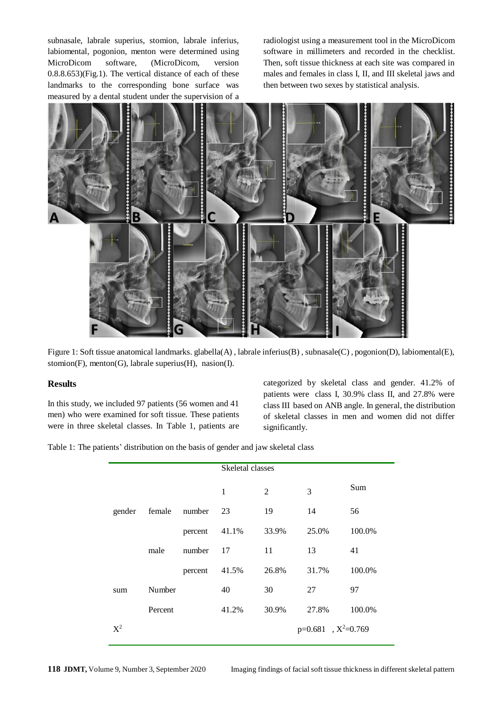subnasale, labrale superius, stomion, labrale inferius, labiomental, pogonion, menton were determined using MicroDicom software, (MicroDicom, version 0.8.8.653)(Fig.1). The vertical distance of each of these landmarks to the corresponding bone surface was measured by a dental student under the supervision of a radiologist using a measurement tool in the MicroDicom software in millimeters and recorded in the checklist. Then, soft tissue thickness at each site was compared in males and females in class I, II, and III skeletal jaws and then between two sexes by statistical analysis.



Figure 1: Soft tissue anatomical landmarks. glabella(A) , labrale inferius(B) , subnasale(C) , pogonion(D), labiomental(E), stomion(F), menton(G), labrale superius(H), nasion(I).

#### **Results**

In this study, we included 97 patients (56 women and 41 men) who were examined for soft tissue. These patients were in three skeletal classes. In Table 1, patients are categorized by skeletal class and gender. 41.2% of patients were class I, 30.9% class II, and 27.8% were class III based on ANB angle. In general, the distribution of skeletal classes in men and women did not differ significantly.

Table 1: The patients' distribution on the basis of gender and jaw skeletal class

|        |         |         | Skeletal classes        |       |       |        |
|--------|---------|---------|-------------------------|-------|-------|--------|
|        |         |         | 1                       | 2     | 3     | Sum    |
| gender | female  | number  | 23                      | 19    | 14    | 56     |
|        |         | percent | 41.1%                   | 33.9% | 25.0% | 100.0% |
|        | male    | number  | 17                      | 11    | 13    | 41     |
|        |         | percent | 41.5%                   | 26.8% | 31.7% | 100.0% |
| sum    | Number  |         | 40                      | 30    | 27    | 97     |
|        | Percent |         | 41.2%                   | 30.9% | 27.8% | 100.0% |
| $X^2$  |         |         | $p=0.681$ , $X^2=0.769$ |       |       |        |

**118 JDMT,** Volume 9, Number 3, September 2020 Imaging findings of facial soft tissue thickness in different skeletal pattern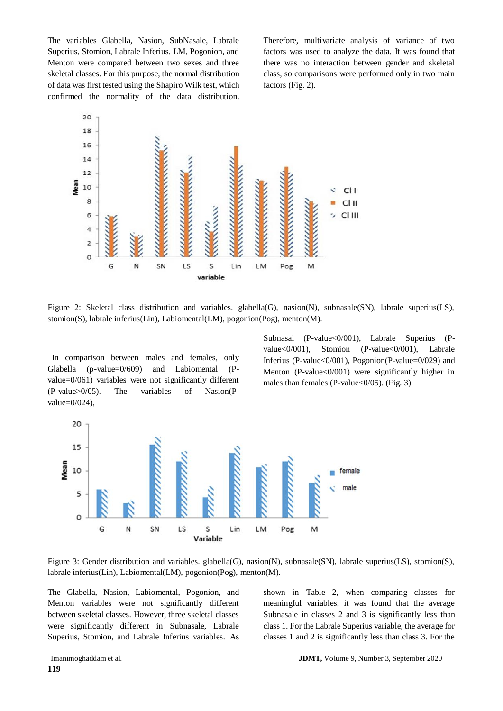The variables Glabella, Nasion, SubNasale, Labrale Superius, Stomion, Labrale Inferius, LM, Pogonion, and Menton were compared between two sexes and three skeletal classes. For this purpose, the normal distribution of data was first tested using the Shapiro Wilk test, which confirmed the normality of the data distribution.

Therefore, multivariate analysis of variance of two factors was used to analyze the data. It was found that there was no interaction between gender and skeletal class, so comparisons were performed only in two main factors (Fig. 2).



Figure 2: Skeletal class distribution and variables. glabella(G), nasion(N), subnasale(SN), labrale superius(LS), stomion(S), labrale inferius(Lin), Labiomental(LM), pogonion(Pog), menton(M).

In comparison between males and females, only Glabella (p-value=0/609) and Labiomental (Pvalue=0/061) variables were not significantly different (P-value>0/05). The variables of Nasion(Pvalue=0/024),

Subnasal (P-value<0/001), Labrale Superius (Pvalue<0/001), Stomion (P-value<0/001), Labrale Inferius (P-value<0/001), Pogonion(P-value=0/029) and Menton (P-value<0/001) were significantly higher in males than females (P-value<0/05). (Fig. 3).



Figure 3: Gender distribution and variables. glabella(G), nasion(N), subnasale(SN), labrale superius(LS), stomion(S), labrale inferius(Lin), Labiomental(LM), pogonion(Pog), menton(M).

The Glabella, Nasion, Labiomental, Pogonion, and Menton variables were not significantly different between skeletal classes. However, three skeletal classes were significantly different in Subnasale, Labrale Superius, Stomion, and Labrale Inferius variables. As

shown in Table 2, when comparing classes for meaningful variables, it was found that the average Subnasale in classes 2 and 3 is significantly less than class 1. For the Labrale Superius variable, the average for classes 1 and 2 is significantly less than class 3. For the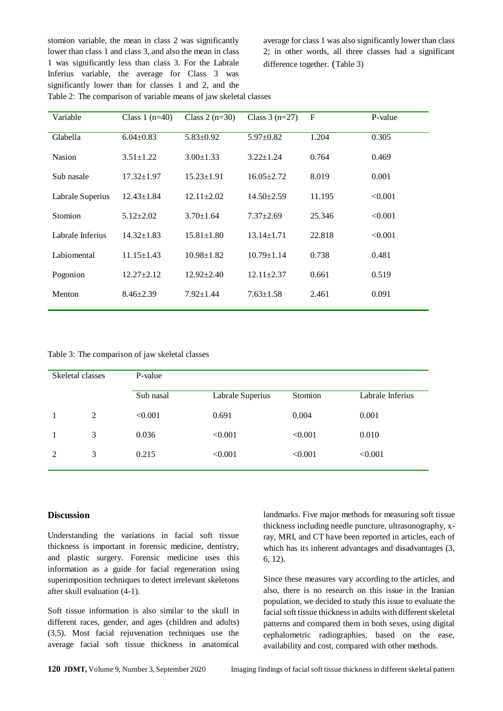stomion variable, the mean in class 2 was significantly lower than class 1 and class 3, and also the mean in class 1 was significantly less than class 3. For the Labrale Inferius variable, the average for Class 3 was significantly lower than for classes 1 and 2, and the Table 2: The comparison of variable means of jaw skeletal classes

average for class 1 was also significantly lower than class 2; in other words, all three classes had a significant difference together. (Table 3)

| Variable         | Class 1 $(n=40)$ | Class $2(n=30)$  | Class $3(n=27)$  | $\mathbf F$ | P-value |
|------------------|------------------|------------------|------------------|-------------|---------|
| Glabella         | $6.04 \pm 0.83$  | $5.83 \pm 0.92$  | $5.97 \pm 0.82$  | 1.204       | 0.305   |
| <b>Nasion</b>    | $3.51 \pm 1.22$  | $3.00 \pm 1.33$  | $3.22 \pm 1.24$  | 0.764       | 0.469   |
| Sub nasale       | $17.32 \pm 1.97$ | $15.23 \pm 1.91$ | $16.05 \pm 2.72$ | 8.019       | 0.001   |
| Labrale Superius | $12.43 \pm 1.84$ | $12.11 \pm 2.02$ | $14.50 \pm 2.59$ | 11.195      | < 0.001 |
| Stomion          | $5.12 \pm 2.02$  | $3.70 \pm 1.64$  | $7.37 \pm 2.69$  | 25.346      | < 0.001 |
| Labrale Inferius | $14.32 \pm 1.83$ | $15.81 \pm 1.80$ | $13.14 \pm 1.71$ | 22.818      | < 0.001 |
| Labiomental      | $11.15 \pm 1.43$ | $10.98 \pm 1.82$ | $10.79 \pm 1.14$ | 0.738       | 0.481   |
| Pogonion         | $12.27 \pm 2.12$ | $12.92 \pm 2.40$ | $12.11 \pm 2.37$ | 0.661       | 0.519   |
| Menton           | $8.46 \pm 2.39$  | $7.92 \pm 1.44$  | $7.63 \pm 1.58$  | 2.461       | 0.091   |

Table 3: The comparison of jaw skeletal classes

| Skeletal classes |   | P-value   |                  |         |                  |  |  |  |
|------------------|---|-----------|------------------|---------|------------------|--|--|--|
|                  |   | Sub nasal | Labrale Superius | Stomion | Labrale Inferius |  |  |  |
|                  | 2 | < 0.001   | 0.691            | 0.004   | 0.001            |  |  |  |
|                  | 3 | 0.036     | < 0.001          | < 0.001 | 0.010            |  |  |  |
| 2                | 3 | 0.215     | < 0.001          | < 0.001 | < 0.001          |  |  |  |

#### **Discussion**

Understanding the variations in facial soft tissue thickness is important in forensic medicine, dentistry, and plastic surgery. Forensic medicine uses this information as a guide for facial regeneration using superimposition techniques to detect irrelevant skeletons after skull evaluation (4-1).

Soft tissue information is also similar to the skull in different races, gender, and ages (children and adults) (3,5). Most facial rejuvenation techniques use the average facial soft tissue thickness in anatomical landmarks. Five major methods for measuring soft tissue thickness including needle puncture, ultrasonography, xray, MRI, and CT have been reported in articles, each of which has its inherent advantages and disadvantages (3, 6, 12).

Since these measures vary according to the articles, and also, there is no research on this issue in the Iranian population, we decided to study this issue to evaluate the facial soft tissue thickness in adults with different skeletal patterns and compared them in both sexes, using digital cephalometric radiographies, based on the ease, availability and cost, compared with other methods.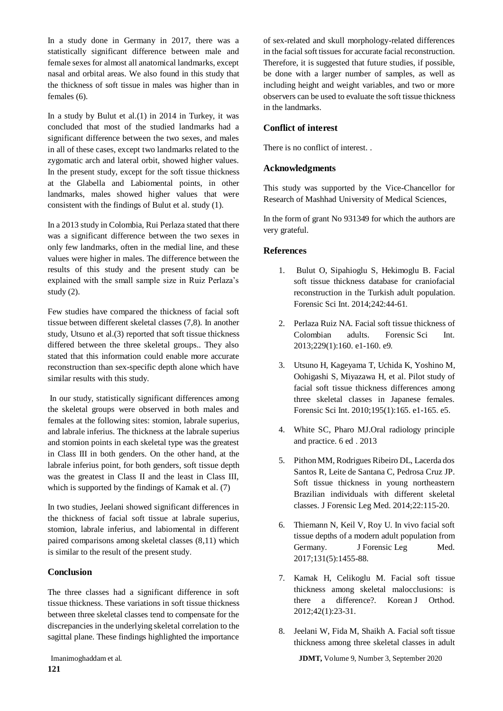In a study done in Germany in 2017, there was a statistically significant difference between male and female sexes for almost all anatomical landmarks, except nasal and orbital areas. We also found in this study that the thickness of soft tissue in males was higher than in females (6).

In a study by Bulut et al. $(1)$  in 2014 in Turkey, it was concluded that most of the studied landmarks had a significant difference between the two sexes, and males in all of these cases, except two landmarks related to the zygomatic arch and lateral orbit, showed higher values. In the present study, except for the soft tissue thickness at the Glabella and Labiomental points, in other landmarks, males showed higher values that were consistent with the findings of Bulut et al. study (1).

In a 2013 study in Colombia, Rui Perlaza stated that there was a significant difference between the two sexes in only few landmarks, often in the medial line, and these values were higher in males. The difference between the results of this study and the present study can be explained with the small sample size in Ruiz Perlaza's study (2).

Few studies have compared the thickness of facial soft tissue between different skeletal classes (7,8). In another study, Utsuno et al.(3) reported that soft tissue thickness differed between the three skeletal groups.. They also stated that this information could enable more accurate reconstruction than sex-specific depth alone which have similar results with this study.

In our study, statistically significant differences among the skeletal groups were observed in both males and females at the following sites: stomion, labrale superius, and labrale inferius. The thickness at the labrale superius and stomion points in each skeletal type was the greatest in Class III in both genders. On the other hand, at the labrale inferius point, for both genders, soft tissue depth was the greatest in Class II and the least in Class III, which is supported by the findings of Kamak et al. (7)

In two studies, Jeelani showed significant differences in the thickness of facial soft tissue at labrale superius, stomion, labrale inferius, and labiomental in different paired comparisons among skeletal classes (8,11) which is similar to the result of the present study.

### **Conclusion**

The three classes had a significant difference in soft tissue thickness. These variations in soft tissue thickness between three skeletal classes tend to compensate for the discrepancies in the underlying skeletal correlation to the sagittal plane. These findings highlighted the importance

of sex-related and skull morphology-related differences in the facial soft tissues for accurate facial reconstruction. Therefore, it is suggested that future studies, if possible, be done with a larger number of samples, as well as including height and weight variables, and two or more observers can be used to evaluate the soft tissue thickness in the landmarks.

## **Conflict of interest**

There is no conflict of interest. .

## **Acknowledgments**

This study was supported by the Vice-Chancellor for Research of Mashhad University of Medical Sciences,

In the form of grant No 931349 for which the authors are very grateful.

## **References**

- 1. Bulut O, Sipahioglu S, Hekimoglu B. Facial soft tissue thickness database for craniofacial reconstruction in the Turkish adult population. Forensic Sci Int. 2014;242:44-61.
- 2. Perlaza Ruiz NA. Facial soft tissue thickness of Colombian adults. Forensic Sci Int. 2013;229(1):160. e1-160. e9.
- 3. Utsuno H, Kageyama T, Uchida K, Yoshino M, Oohigashi S, Miyazawa H, et al. Pilot study of facial soft tissue thickness differences among three skeletal classes in Japanese females. Forensic Sci Int. 2010;195(1):165. e1-165. e5.
- 4. White SC, Pharo MJ.Oral radiology principle and practice. 6 ed . 2013
- 5. Pithon MM, Rodrigues Ribeiro DL, Lacerda dos Santos R, Leite de Santana C, Pedrosa Cruz JP. Soft tissue thickness in young northeastern Brazilian individuals with different skeletal classes. J Forensic Leg Med. 2014;22:115-20.
- 6. Thiemann N, Keil V, Roy U. In vivo facial soft tissue depths of a modern adult population from Germany. J Forensic Leg Med. 2017;131(5):1455-88.
- 7. Kamak H, Celikoglu M. Facial soft tissue thickness among skeletal malocclusions: is there a difference?. Korean J Orthod. 2012;42(1):23-31.
- 8. Jeelani W, Fida M, Shaikh A. Facial soft tissue thickness among three skeletal classes in adult

Imanimoghaddam et al. **JDMT,** Volume 9, Number 3, September 2020